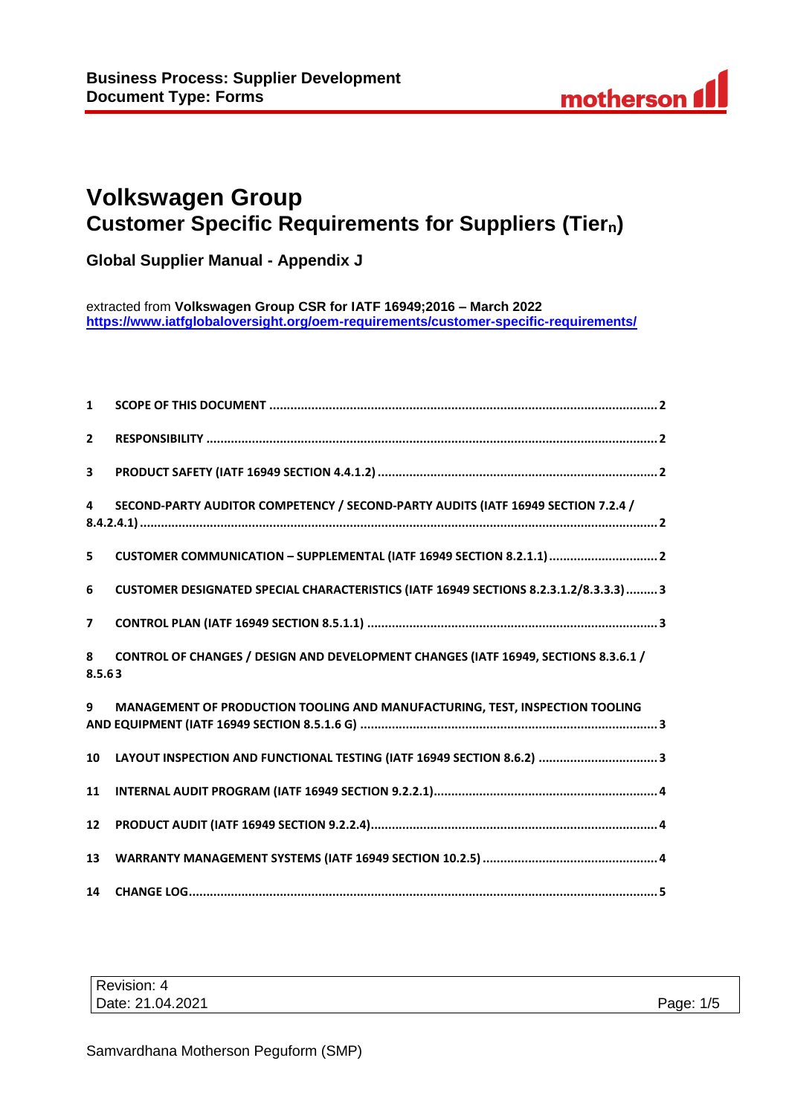# **Volkswagen Group Customer Specific Requirements for Suppliers (Tiern)**

**Global Supplier Manual - Appendix J**

extracted from **Volkswagen Group CSR for IATF 16949;2016 – March 2022 <https://www.iatfglobaloversight.org/oem-requirements/customer-specific-requirements/>**

| $\mathbf{1}$   |                                                                                        |
|----------------|----------------------------------------------------------------------------------------|
| $\overline{2}$ |                                                                                        |
| 3              |                                                                                        |
| 4              | SECOND-PARTY AUDITOR COMPETENCY / SECOND-PARTY AUDITS (IATF 16949 SECTION 7.2.4 /      |
| 5              |                                                                                        |
| 6              | CUSTOMER DESIGNATED SPECIAL CHARACTERISTICS (IATF 16949 SECTIONS 8.2.3.1.2/8.3.3.3)  3 |
| $\overline{7}$ |                                                                                        |
| 8<br>8.5.63    | CONTROL OF CHANGES / DESIGN AND DEVELOPMENT CHANGES (IATF 16949, SECTIONS 8.3.6.1 /    |
| 9              | MANAGEMENT OF PRODUCTION TOOLING AND MANUFACTURING, TEST, INSPECTION TOOLING           |
| 10             | LAYOUT INSPECTION AND FUNCTIONAL TESTING (IATF 16949 SECTION 8.6.2)  3                 |
| 11             |                                                                                        |
| 12             |                                                                                        |
| 13             |                                                                                        |
| 14             |                                                                                        |

| Revision: 4      |              |
|------------------|--------------|
| Date: 21.04.2021 | Page:<br>1/5 |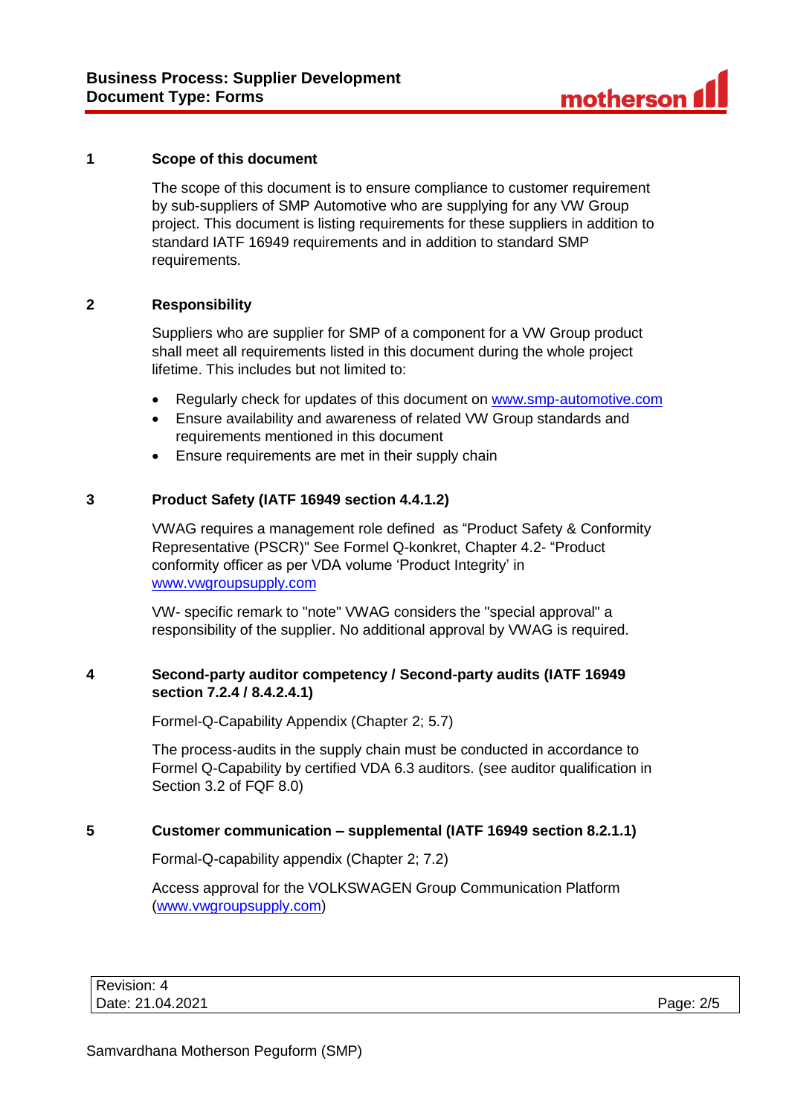#### **1 Scope of this document**

The scope of this document is to ensure compliance to customer requirement by sub-suppliers of SMP Automotive who are supplying for any VW Group project. This document is listing requirements for these suppliers in addition to standard IATF 16949 requirements and in addition to standard SMP requirements.

#### **2 Responsibility**

Suppliers who are supplier for SMP of a component for a VW Group product shall meet all requirements listed in this document during the whole project lifetime. This includes but not limited to:

- Regularly check for updates of this document on [www.smp-automotive.com](file:///C:/Users/B30577/Desktop/SMP%20Supplier%20Manual/Supplier%20Manual%20final/www.smp-automotive.com)
- Ensure availability and awareness of related VW Group standards and requirements mentioned in this document
- Ensure requirements are met in their supply chain

#### **3 Product Safety (IATF 16949 section 4.4.1.2)**

VWAG requires a management role defined as "Product Safety & Conformity Representative (PSCR)" See Formel Q-konkret, Chapter 4.2- "Product conformity officer as per VDA volume 'Product Integrity' in [www.vwgroupsupply.com](file://///boedata1.peguform.local/pccommon$/_SQM_Oeffentlich/Dokumente/Homepage/Customer%20Specific%20Requirements/Dokumente%20SMP/www.vwgroupsupply.com)

VW- specific remark to "note" VWAG considers the "special approval" a responsibility of the supplier. No additional approval by VWAG is required.

#### **4 Second-party auditor competency / Second-party audits (IATF 16949 section 7.2.4 / 8.4.2.4.1)**

Formel-Q-Capability Appendix (Chapter 2; 5.7)

The process-audits in the supply chain must be conducted in accordance to Formel Q-Capability by certified VDA 6.3 auditors. (see auditor qualification in Section 3.2 of FQF 8.0)

#### **5 Customer communication – supplemental (IATF 16949 section 8.2.1.1)**

Formal-Q-capability appendix (Chapter 2; 7.2)

Access approval for the VOLKSWAGEN Group Communication Platform [\(www.vwgroupsupply.com\)](file://///boedata1.peguform.local/pccommon$/_SQM_Oeffentlich/Dokumente/Homepage/Customer%20Specific%20Requirements/Dokumente%20SMP/www.vwgroupsupply.com)

| Revision: 4      |           |
|------------------|-----------|
| Date: 21.04.2021 | Page: 2/5 |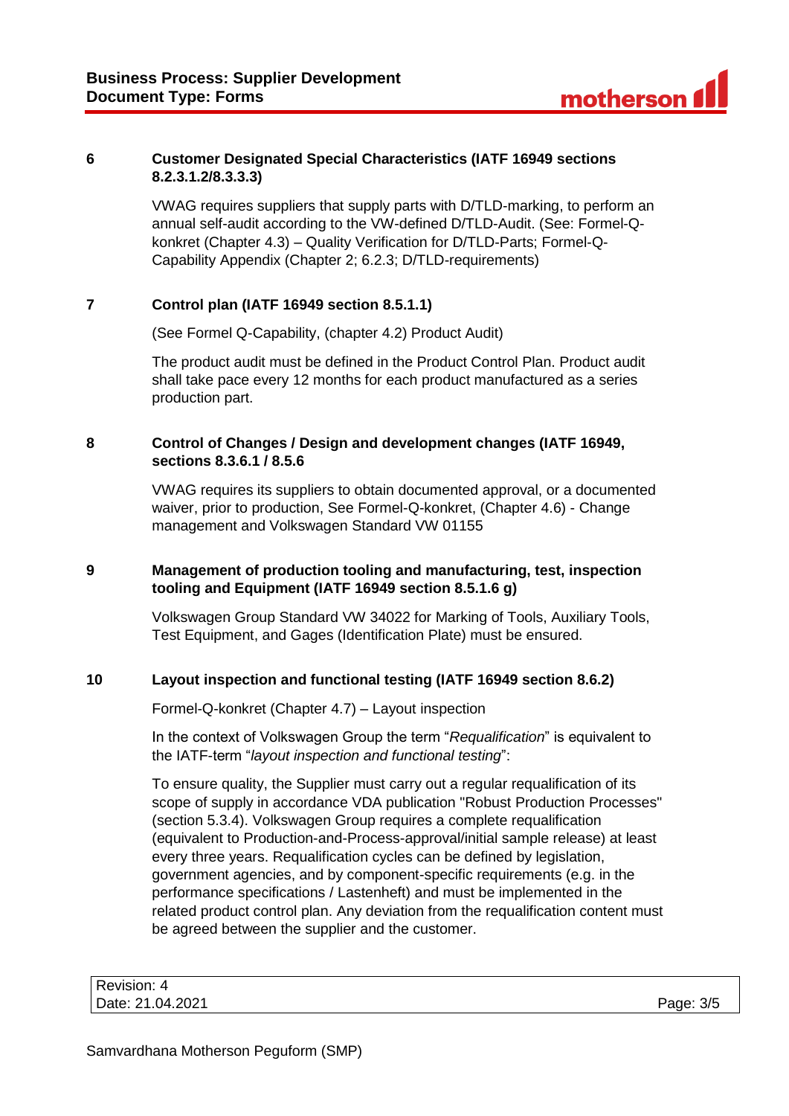### **6 Customer Designated Special Characteristics (IATF 16949 sections 8.2.3.1.2/8.3.3.3)**

VWAG requires suppliers that supply parts with D/TLD-marking, to perform an annual self-audit according to the VW-defined D/TLD-Audit. (See: Formel-Qkonkret (Chapter 4.3) – Quality Verification for D/TLD-Parts; Formel-Q-Capability Appendix (Chapter 2; 6.2.3; D/TLD-requirements)

# **7 Control plan (IATF 16949 section 8.5.1.1)**

(See Formel Q-Capability, (chapter 4.2) Product Audit)

The product audit must be defined in the Product Control Plan. Product audit shall take pace every 12 months for each product manufactured as a series production part.

#### **8 Control of Changes / Design and development changes (IATF 16949, sections 8.3.6.1 / 8.5.6**

VWAG requires its suppliers to obtain documented approval, or a documented waiver, prior to production, See Formel-Q-konkret, (Chapter 4.6) - Change management and Volkswagen Standard VW 01155

### **9 Management of production tooling and manufacturing, test, inspection tooling and Equipment (IATF 16949 section 8.5.1.6 g)**

Volkswagen Group Standard VW 34022 for Marking of Tools, Auxiliary Tools, Test Equipment, and Gages (Identification Plate) must be ensured.

## **10 Layout inspection and functional testing (IATF 16949 section 8.6.2)**

Formel-Q-konkret (Chapter 4.7) – Layout inspection

In the context of Volkswagen Group the term "*Requalification*" is equivalent to the IATF-term "*layout inspection and functional testing*":

To ensure quality, the Supplier must carry out a regular requalification of its scope of supply in accordance VDA publication "Robust Production Processes" (section 5.3.4). Volkswagen Group requires a complete requalification (equivalent to Production-and-Process-approval/initial sample release) at least every three years. Requalification cycles can be defined by legislation, government agencies, and by component-specific requirements (e.g. in the performance specifications / Lastenheft) and must be implemented in the related product control plan. Any deviation from the requalification content must be agreed between the supplier and the customer.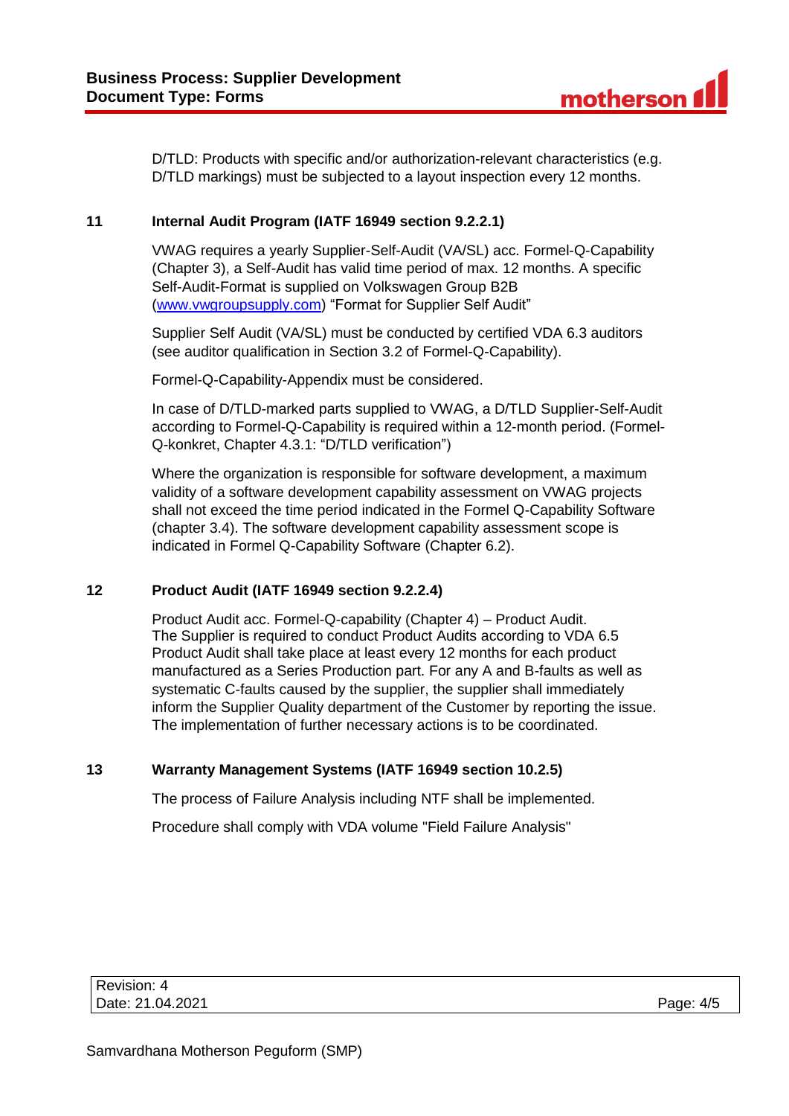D/TLD: Products with specific and/or authorization-relevant characteristics (e.g. D/TLD markings) must be subjected to a layout inspection every 12 months.

### **11 Internal Audit Program (IATF 16949 section 9.2.2.1)**

VWAG requires a yearly Supplier-Self-Audit (VA/SL) acc. Formel-Q-Capability (Chapter 3), a Self-Audit has valid time period of max. 12 months. A specific Self-Audit-Format is supplied on Volkswagen Group B2B [\(www.vwgroupsupply.com\)](file://///boedata1.peguform.local/pccommon$/_SQM_Oeffentlich/Dokumente/Homepage/Customer%20Specific%20Requirements/Dokumente%20SMP/www.vwgroupsupply.com) "Format for Supplier Self Audit"

Supplier Self Audit (VA/SL) must be conducted by certified VDA 6.3 auditors (see auditor qualification in Section 3.2 of Formel-Q-Capability).

Formel-Q-Capability-Appendix must be considered.

In case of D/TLD-marked parts supplied to VWAG, a D/TLD Supplier-Self-Audit according to Formel-Q-Capability is required within a 12-month period. (Formel-Q-konkret, Chapter 4.3.1: "D/TLD verification")

Where the organization is responsible for software development, a maximum validity of a software development capability assessment on VWAG projects shall not exceed the time period indicated in the Formel Q-Capability Software (chapter 3.4). The software development capability assessment scope is indicated in Formel Q-Capability Software (Chapter 6.2).

#### **12 Product Audit (IATF 16949 section 9.2.2.4)**

Product Audit acc. Formel-Q-capability (Chapter 4) – Product Audit. The Supplier is required to conduct Product Audits according to VDA 6.5 Product Audit shall take place at least every 12 months for each product manufactured as a Series Production part. For any A and B-faults as well as systematic C-faults caused by the supplier, the supplier shall immediately inform the Supplier Quality department of the Customer by reporting the issue. The implementation of further necessary actions is to be coordinated.

## **13 Warranty Management Systems (IATF 16949 section 10.2.5)**

The process of Failure Analysis including NTF shall be implemented.

Procedure shall comply with VDA volume "Field Failure Analysis"

| Revision: 4      |           |
|------------------|-----------|
| Date: 21.04.2021 | Page: 4/5 |